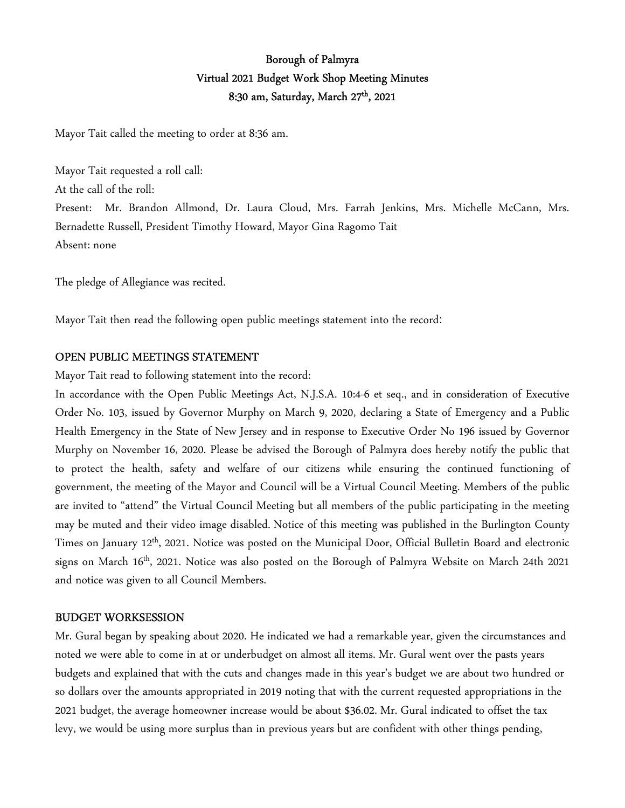# Borough of Palmyra Virtual 2021 Budget Work Shop Meeting Minutes 8:30 am, Saturday, March 27<sup>th</sup>, 2021

Mayor Tait called the meeting to order at 8:36 am.

Mayor Tait requested a roll call: At the call of the roll: Present: Mr. Brandon Allmond, Dr. Laura Cloud, Mrs. Farrah Jenkins, Mrs. Michelle McCann, Mrs. Bernadette Russell, President Timothy Howard, Mayor Gina Ragomo Tait Absent: none

The pledge of Allegiance was recited.

Mayor Tait then read the following open public meetings statement into the record:

#### OPEN PUBLIC MEETINGS STATEMENT

Mayor Tait read to following statement into the record:

In accordance with the Open Public Meetings Act, N.J.S.A. 10:4-6 et seq., and in consideration of Executive Order No. 103, issued by Governor Murphy on March 9, 2020, declaring a State of Emergency and a Public Health Emergency in the State of New Jersey and in response to Executive Order No 196 issued by Governor Murphy on November 16, 2020. Please be advised the Borough of Palmyra does hereby notify the public that to protect the health, safety and welfare of our citizens while ensuring the continued functioning of government, the meeting of the Mayor and Council will be a Virtual Council Meeting. Members of the public are invited to "attend" the Virtual Council Meeting but all members of the public participating in the meeting may be muted and their video image disabled. Notice of this meeting was published in the Burlington County Times on January 12<sup>th</sup>, 2021. Notice was posted on the Municipal Door, Official Bulletin Board and electronic signs on March 16th, 2021. Notice was also posted on the Borough of Palmyra Website on March 24th 2021 and notice was given to all Council Members.

#### BUDGET WORKSESSION

Mr. Gural began by speaking about 2020. He indicated we had a remarkable year, given the circumstances and noted we were able to come in at or underbudget on almost all items. Mr. Gural went over the pasts years budgets and explained that with the cuts and changes made in this year's budget we are about two hundred or so dollars over the amounts appropriated in 2019 noting that with the current requested appropriations in the 2021 budget, the average homeowner increase would be about \$36.02. Mr. Gural indicated to offset the tax levy, we would be using more surplus than in previous years but are confident with other things pending,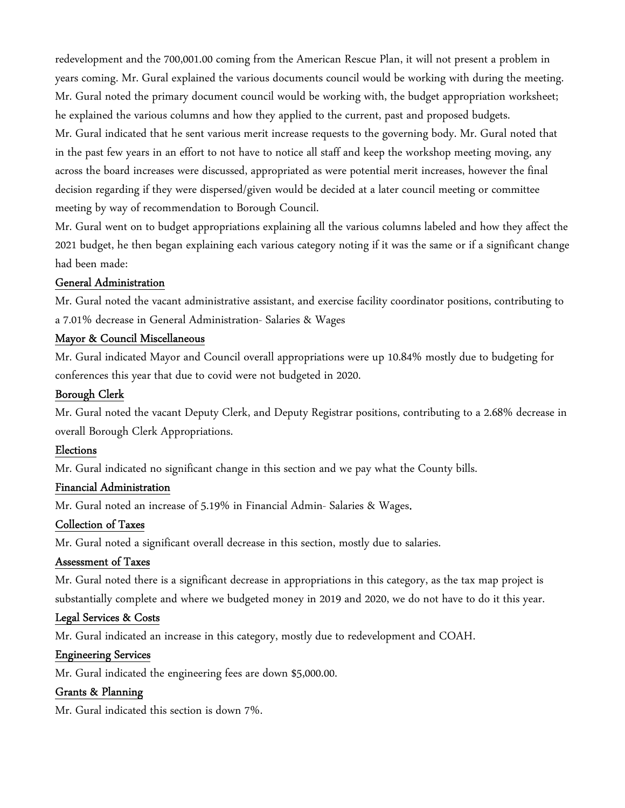redevelopment and the 700,001.00 coming from the American Rescue Plan, it will not present a problem in years coming. Mr. Gural explained the various documents council would be working with during the meeting. Mr. Gural noted the primary document council would be working with, the budget appropriation worksheet; he explained the various columns and how they applied to the current, past and proposed budgets. Mr. Gural indicated that he sent various merit increase requests to the governing body. Mr. Gural noted that in the past few years in an effort to not have to notice all staff and keep the workshop meeting moving, any across the board increases were discussed, appropriated as were potential merit increases, however the final decision regarding if they were dispersed/given would be decided at a later council meeting or committee meeting by way of recommendation to Borough Council.

Mr. Gural went on to budget appropriations explaining all the various columns labeled and how they affect the 2021 budget, he then began explaining each various category noting if it was the same or if a significant change had been made:

# General Administration

Mr. Gural noted the vacant administrative assistant, and exercise facility coordinator positions, contributing to a 7.01% decrease in General Administration- Salaries & Wages

# Mayor & Council Miscellaneous

Mr. Gural indicated Mayor and Council overall appropriations were up 10.84% mostly due to budgeting for conferences this year that due to covid were not budgeted in 2020.

# Borough Clerk

Mr. Gural noted the vacant Deputy Clerk, and Deputy Registrar positions, contributing to a 2.68% decrease in overall Borough Clerk Appropriations.

# Elections

Mr. Gural indicated no significant change in this section and we pay what the County bills.

# Financial Administration

Mr. Gural noted an increase of 5.19% in Financial Admin- Salaries & Wages.

# Collection of Taxes

Mr. Gural noted a significant overall decrease in this section, mostly due to salaries.

# Assessment of Taxes

Mr. Gural noted there is a significant decrease in appropriations in this category, as the tax map project is substantially complete and where we budgeted money in 2019 and 2020, we do not have to do it this year.

# Legal Services & Costs

Mr. Gural indicated an increase in this category, mostly due to redevelopment and COAH.

# Engineering Services

Mr. Gural indicated the engineering fees are down \$5,000.00.

# Grants & Planning

Mr. Gural indicated this section is down 7%.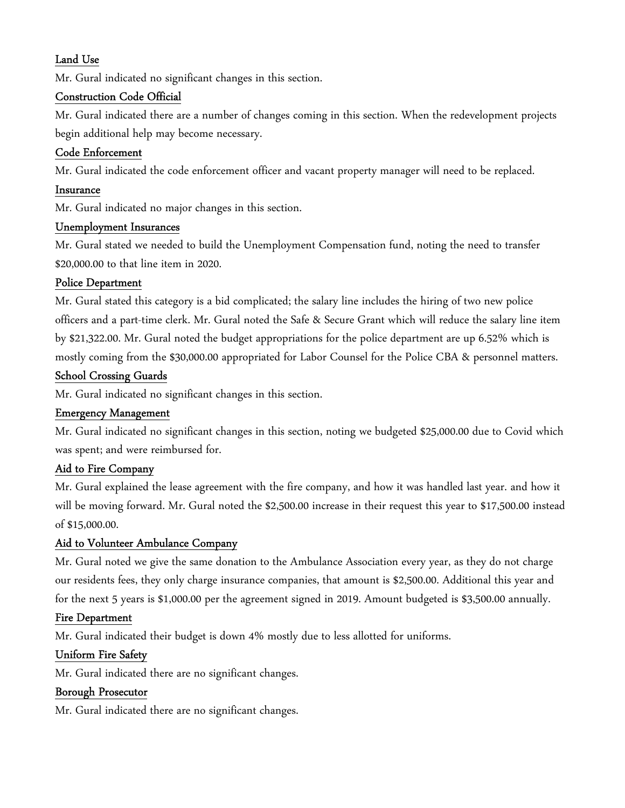# Land Use

Mr. Gural indicated no significant changes in this section.

#### Construction Code Official

Mr. Gural indicated there are a number of changes coming in this section. When the redevelopment projects begin additional help may become necessary.

#### Code Enforcement

Mr. Gural indicated the code enforcement officer and vacant property manager will need to be replaced.

#### Insurance

Mr. Gural indicated no major changes in this section.

#### Unemployment Insurances

Mr. Gural stated we needed to build the Unemployment Compensation fund, noting the need to transfer \$20,000.00 to that line item in 2020.

#### Police Department

Mr. Gural stated this category is a bid complicated; the salary line includes the hiring of two new police officers and a part-time clerk. Mr. Gural noted the Safe & Secure Grant which will reduce the salary line item by \$21,322.00. Mr. Gural noted the budget appropriations for the police department are up 6.52% which is mostly coming from the \$30,000.00 appropriated for Labor Counsel for the Police CBA & personnel matters.

#### School Crossing Guards

Mr. Gural indicated no significant changes in this section.

#### Emergency Management

Mr. Gural indicated no significant changes in this section, noting we budgeted \$25,000.00 due to Covid which was spent; and were reimbursed for.

#### Aid to Fire Company

Mr. Gural explained the lease agreement with the fire company, and how it was handled last year. and how it will be moving forward. Mr. Gural noted the \$2,500.00 increase in their request this year to \$17,500.00 instead of \$15,000.00.

#### Aid to Volunteer Ambulance Company

Mr. Gural noted we give the same donation to the Ambulance Association every year, as they do not charge our residents fees, they only charge insurance companies, that amount is \$2,500.00. Additional this year and for the next 5 years is \$1,000.00 per the agreement signed in 2019. Amount budgeted is \$3,500.00 annually.

#### Fire Department

Mr. Gural indicated their budget is down 4% mostly due to less allotted for uniforms.

#### Uniform Fire Safety

Mr. Gural indicated there are no significant changes.

#### Borough Prosecutor

Mr. Gural indicated there are no significant changes.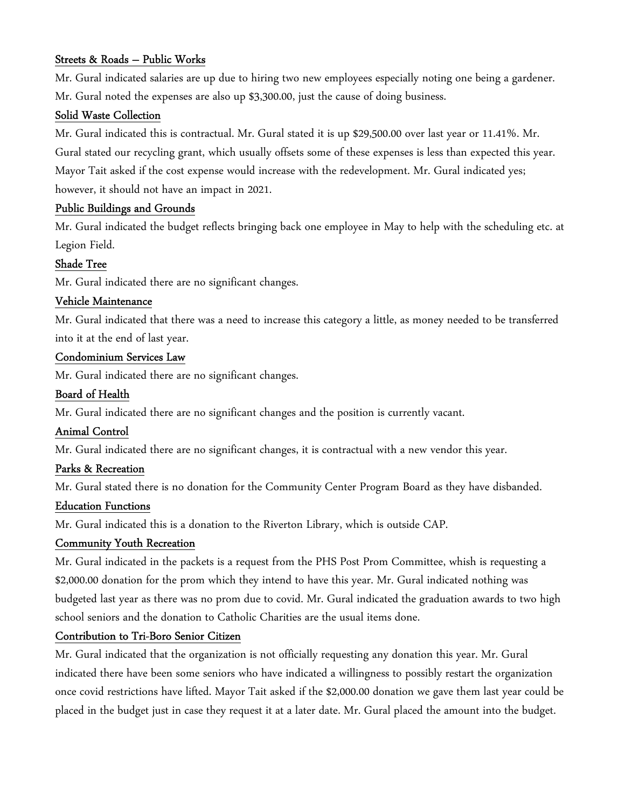# Streets & Roads – Public Works

Mr. Gural indicated salaries are up due to hiring two new employees especially noting one being a gardener. Mr. Gural noted the expenses are also up \$3,300.00, just the cause of doing business.

### Solid Waste Collection

Mr. Gural indicated this is contractual. Mr. Gural stated it is up \$29,500.00 over last year or 11.41%. Mr. Gural stated our recycling grant, which usually offsets some of these expenses is less than expected this year. Mayor Tait asked if the cost expense would increase with the redevelopment. Mr. Gural indicated yes; however, it should not have an impact in 2021.

# Public Buildings and Grounds

Mr. Gural indicated the budget reflects bringing back one employee in May to help with the scheduling etc. at Legion Field.

# Shade Tree

Mr. Gural indicated there are no significant changes.

# Vehicle Maintenance

Mr. Gural indicated that there was a need to increase this category a little, as money needed to be transferred into it at the end of last year.

# Condominium Services Law

Mr. Gural indicated there are no significant changes.

# Board of Health

Mr. Gural indicated there are no significant changes and the position is currently vacant.

# Animal Control

Mr. Gural indicated there are no significant changes, it is contractual with a new vendor this year.

# Parks & Recreation

Mr. Gural stated there is no donation for the Community Center Program Board as they have disbanded.

#### Education Functions

Mr. Gural indicated this is a donation to the Riverton Library, which is outside CAP.

#### Community Youth Recreation

Mr. Gural indicated in the packets is a request from the PHS Post Prom Committee, whish is requesting a \$2,000.00 donation for the prom which they intend to have this year. Mr. Gural indicated nothing was budgeted last year as there was no prom due to covid. Mr. Gural indicated the graduation awards to two high school seniors and the donation to Catholic Charities are the usual items done.

# Contribution to Tri-Boro Senior Citizen

Mr. Gural indicated that the organization is not officially requesting any donation this year. Mr. Gural indicated there have been some seniors who have indicated a willingness to possibly restart the organization once covid restrictions have lifted. Mayor Tait asked if the \$2,000.00 donation we gave them last year could be placed in the budget just in case they request it at a later date. Mr. Gural placed the amount into the budget.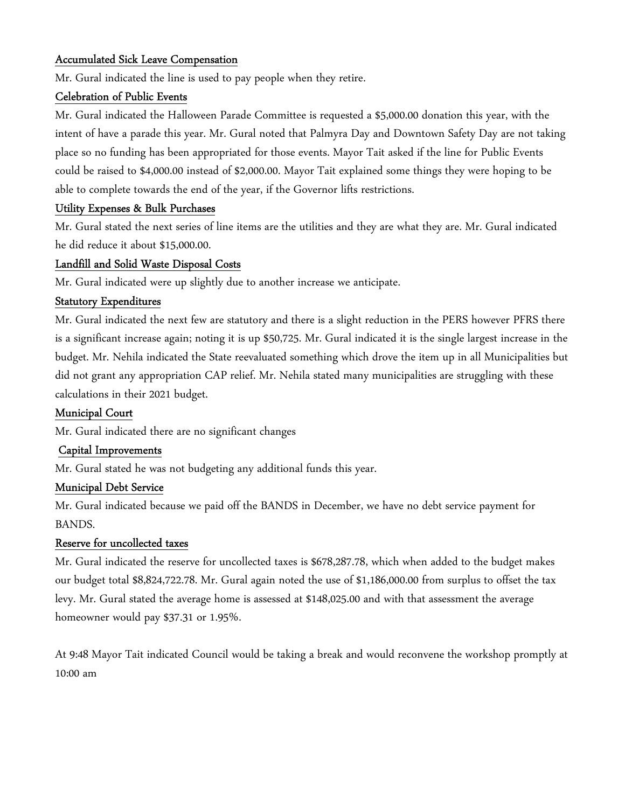# Accumulated Sick Leave Compensation

Mr. Gural indicated the line is used to pay people when they retire.

### Celebration of Public Events

Mr. Gural indicated the Halloween Parade Committee is requested a \$5,000.00 donation this year, with the intent of have a parade this year. Mr. Gural noted that Palmyra Day and Downtown Safety Day are not taking place so no funding has been appropriated for those events. Mayor Tait asked if the line for Public Events could be raised to \$4,000.00 instead of \$2,000.00. Mayor Tait explained some things they were hoping to be able to complete towards the end of the year, if the Governor lifts restrictions.

# Utility Expenses & Bulk Purchases

Mr. Gural stated the next series of line items are the utilities and they are what they are. Mr. Gural indicated he did reduce it about \$15,000.00.

# Landfill and Solid Waste Disposal Costs

Mr. Gural indicated were up slightly due to another increase we anticipate.

#### Statutory Expenditures

Mr. Gural indicated the next few are statutory and there is a slight reduction in the PERS however PFRS there is a significant increase again; noting it is up \$50,725. Mr. Gural indicated it is the single largest increase in the budget. Mr. Nehila indicated the State reevaluated something which drove the item up in all Municipalities but did not grant any appropriation CAP relief. Mr. Nehila stated many municipalities are struggling with these calculations in their 2021 budget.

#### Municipal Court

Mr. Gural indicated there are no significant changes

#### Capital Improvements

Mr. Gural stated he was not budgeting any additional funds this year.

#### Municipal Debt Service

Mr. Gural indicated because we paid off the BANDS in December, we have no debt service payment for BANDS.

#### Reserve for uncollected taxes

Mr. Gural indicated the reserve for uncollected taxes is \$678,287.78, which when added to the budget makes our budget total \$8,824,722.78. Mr. Gural again noted the use of \$1,186,000.00 from surplus to offset the tax levy. Mr. Gural stated the average home is assessed at \$148,025.00 and with that assessment the average homeowner would pay \$37.31 or 1.95%.

At 9:48 Mayor Tait indicated Council would be taking a break and would reconvene the workshop promptly at 10:00 am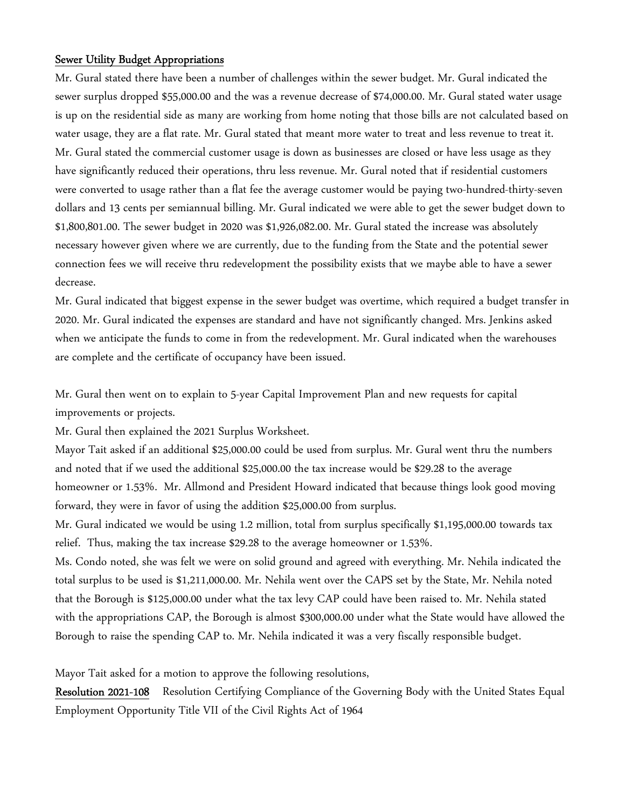#### Sewer Utility Budget Appropriations

Mr. Gural stated there have been a number of challenges within the sewer budget. Mr. Gural indicated the sewer surplus dropped \$55,000.00 and the was a revenue decrease of \$74,000.00. Mr. Gural stated water usage is up on the residential side as many are working from home noting that those bills are not calculated based on water usage, they are a flat rate. Mr. Gural stated that meant more water to treat and less revenue to treat it. Mr. Gural stated the commercial customer usage is down as businesses are closed or have less usage as they have significantly reduced their operations, thru less revenue. Mr. Gural noted that if residential customers were converted to usage rather than a flat fee the average customer would be paying two-hundred-thirty-seven dollars and 13 cents per semiannual billing. Mr. Gural indicated we were able to get the sewer budget down to \$1,800,801.00. The sewer budget in 2020 was \$1,926,082.00. Mr. Gural stated the increase was absolutely necessary however given where we are currently, due to the funding from the State and the potential sewer connection fees we will receive thru redevelopment the possibility exists that we maybe able to have a sewer decrease.

Mr. Gural indicated that biggest expense in the sewer budget was overtime, which required a budget transfer in 2020. Mr. Gural indicated the expenses are standard and have not significantly changed. Mrs. Jenkins asked when we anticipate the funds to come in from the redevelopment. Mr. Gural indicated when the warehouses are complete and the certificate of occupancy have been issued.

Mr. Gural then went on to explain to 5-year Capital Improvement Plan and new requests for capital improvements or projects.

Mr. Gural then explained the 2021 Surplus Worksheet.

Mayor Tait asked if an additional \$25,000.00 could be used from surplus. Mr. Gural went thru the numbers and noted that if we used the additional \$25,000.00 the tax increase would be \$29.28 to the average homeowner or 1.53%. Mr. Allmond and President Howard indicated that because things look good moving forward, they were in favor of using the addition \$25,000.00 from surplus.

Mr. Gural indicated we would be using 1.2 million, total from surplus specifically \$1,195,000.00 towards tax relief. Thus, making the tax increase \$29.28 to the average homeowner or 1.53%.

Ms. Condo noted, she was felt we were on solid ground and agreed with everything. Mr. Nehila indicated the total surplus to be used is \$1,211,000.00. Mr. Nehila went over the CAPS set by the State, Mr. Nehila noted that the Borough is \$125,000.00 under what the tax levy CAP could have been raised to. Mr. Nehila stated with the appropriations CAP, the Borough is almost \$300,000.00 under what the State would have allowed the Borough to raise the spending CAP to. Mr. Nehila indicated it was a very fiscally responsible budget.

Mayor Tait asked for a motion to approve the following resolutions,

Resolution 2021-108 Resolution Certifying Compliance of the Governing Body with the United States Equal Employment Opportunity Title VII of the Civil Rights Act of 1964